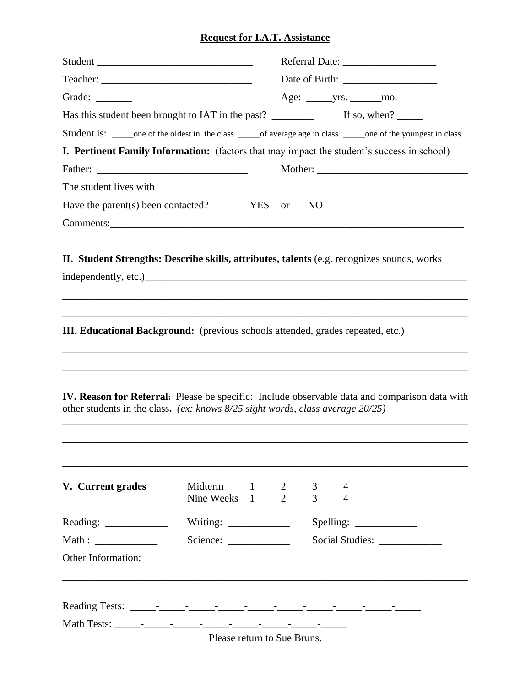## **Request for I.A.T. Assistance**

| Grade: _________                                                                                                                                                                                                                                                                                                                                                                                                                                |                                                                                                               |          |                     |        |                                                                                                                                                                                   |  |  |  |  |  |
|-------------------------------------------------------------------------------------------------------------------------------------------------------------------------------------------------------------------------------------------------------------------------------------------------------------------------------------------------------------------------------------------------------------------------------------------------|---------------------------------------------------------------------------------------------------------------|----------|---------------------|--------|-----------------------------------------------------------------------------------------------------------------------------------------------------------------------------------|--|--|--|--|--|
|                                                                                                                                                                                                                                                                                                                                                                                                                                                 |                                                                                                               |          |                     |        |                                                                                                                                                                                   |  |  |  |  |  |
|                                                                                                                                                                                                                                                                                                                                                                                                                                                 |                                                                                                               |          |                     |        | Student is: _____one of the oldest in the class _____of average age in class _____one of the youngest in class                                                                    |  |  |  |  |  |
|                                                                                                                                                                                                                                                                                                                                                                                                                                                 |                                                                                                               |          |                     |        | I. Pertinent Family Information: (factors that may impact the student's success in school)                                                                                        |  |  |  |  |  |
|                                                                                                                                                                                                                                                                                                                                                                                                                                                 |                                                                                                               |          |                     |        |                                                                                                                                                                                   |  |  |  |  |  |
|                                                                                                                                                                                                                                                                                                                                                                                                                                                 |                                                                                                               |          |                     |        |                                                                                                                                                                                   |  |  |  |  |  |
| Have the parent(s) been contacted?                                                                                                                                                                                                                                                                                                                                                                                                              |                                                                                                               | YES or   |                     | NO     |                                                                                                                                                                                   |  |  |  |  |  |
|                                                                                                                                                                                                                                                                                                                                                                                                                                                 |                                                                                                               |          |                     |        |                                                                                                                                                                                   |  |  |  |  |  |
| II. Student Strengths: Describe skills, attributes, talents (e.g. recognizes sounds, works                                                                                                                                                                                                                                                                                                                                                      |                                                                                                               |          |                     |        | independently, etc.)<br><u>manufactures</u>                                                                                                                                       |  |  |  |  |  |
| <b>III. Educational Background:</b> (previous schools attended, grades repeated, etc.)<br>other students in the class. (ex: knows $8/25$ sight words, class average $20/25$ )                                                                                                                                                                                                                                                                   |                                                                                                               |          |                     |        | ,我们也不会有什么。""我们的人,我们也不会有什么?""我们的人,我们也不会有什么?""我们的人,我们也不会有什么?""我们的人,我们也不会有什么?""我们的人<br>IV. Reason for Referral: Please be specific: Include observable data and comparison data with |  |  |  |  |  |
| V. Current grades                                                                                                                                                                                                                                                                                                                                                                                                                               | Midterm<br>Nine Weeks 1                                                                                       | $\sim$ 1 | 2<br>$\overline{2}$ | 3<br>3 | 4<br>$\overline{A}$                                                                                                                                                               |  |  |  |  |  |
| Reading: $\frac{1}{\sqrt{1-\frac{1}{2}} \cdot \frac{1}{\sqrt{1-\frac{1}{2}} \cdot \frac{1}{\sqrt{1-\frac{1}{2}} \cdot \frac{1}{\sqrt{1-\frac{1}{2}} \cdot \frac{1}{\sqrt{1-\frac{1}{2}} \cdot \frac{1}{\sqrt{1-\frac{1}{2}} \cdot \frac{1}{\sqrt{1-\frac{1}{2}} \cdot \frac{1}{\sqrt{1-\frac{1}{2}} \cdot \frac{1}{\sqrt{1-\frac{1}{2}} \cdot \frac{1}{\sqrt{1-\frac{1}{2}} \cdot \frac{1}{\sqrt{1-\frac{1}{2}} \cdot \frac{1}{\sqrt{1-\frac{1$ |                                                                                                               |          |                     |        |                                                                                                                                                                                   |  |  |  |  |  |
|                                                                                                                                                                                                                                                                                                                                                                                                                                                 | Writing: $\frac{1}{\sqrt{1-\frac{1}{2}}\sqrt{1-\frac{1}{2}}\left(\frac{1}{2}-\frac{1}{2}\right)}$<br>Science: |          |                     |        |                                                                                                                                                                                   |  |  |  |  |  |
|                                                                                                                                                                                                                                                                                                                                                                                                                                                 |                                                                                                               |          |                     |        |                                                                                                                                                                                   |  |  |  |  |  |
|                                                                                                                                                                                                                                                                                                                                                                                                                                                 | Please return to Sue Bruns.                                                                                   |          |                     |        |                                                                                                                                                                                   |  |  |  |  |  |